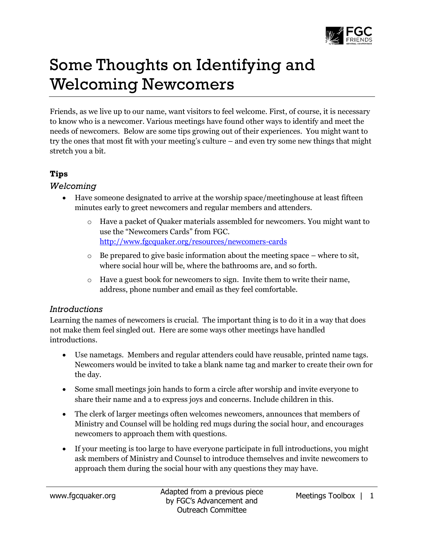

# Some Thoughts on Identifying and Welcoming Newcomers

Friends, as we live up to our name, want visitors to feel welcome. First, of course, it is necessary to know who is a newcomer. Various meetings have found other ways to identify and meet the needs of newcomers. Below are some tips growing out of their experiences. You might want to try the ones that most fit with your meeting's culture – and even try some new things that might stretch you a bit.

## **Tips**

#### *Welcoming*

- Have someone designated to arrive at the worship space/meetinghouse at least fifteen minutes early to greet newcomers and regular members and attenders.
	- o Have a packet of Quaker materials assembled for newcomers. You might want to use the "Newcomers Cards" from FGC. <http://www.fgcquaker.org/resources/newcomers-cards>
	- $\circ$  Be prepared to give basic information about the meeting space where to sit, where social hour will be, where the bathrooms are, and so forth.
	- $\circ$  Have a guest book for newcomers to sign. Invite them to write their name, address, phone number and email as they feel comfortable.

## *Introductions*

Learning the names of newcomers is crucial. The important thing is to do it in a way that does not make them feel singled out. Here are some ways other meetings have handled introductions.

- Use nametags. Members and regular attenders could have reusable, printed name tags. Newcomers would be invited to take a blank name tag and marker to create their own for the day.
- Some small meetings join hands to form a circle after worship and invite everyone to share their name and a to express joys and concerns. Include children in this.
- The clerk of larger meetings often welcomes newcomers, announces that members of Ministry and Counsel will be holding red mugs during the social hour, and encourages newcomers to approach them with questions.
- If your meeting is too large to have everyone participate in full introductions, you might ask members of Ministry and Counsel to introduce themselves and invite newcomers to approach them during the social hour with any questions they may have.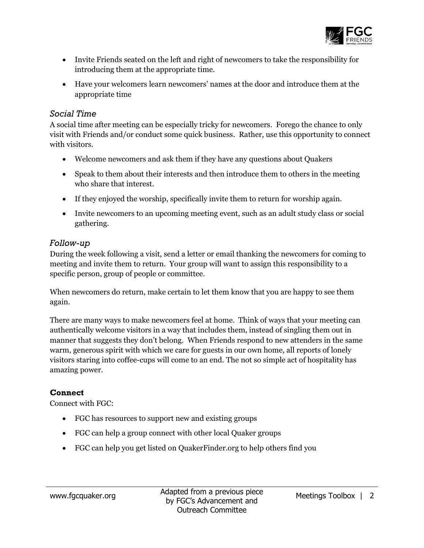

- Invite Friends seated on the left and right of newcomers to take the responsibility for introducing them at the appropriate time.
- Have your welcomers learn newcomers' names at the door and introduce them at the appropriate time

#### *Social Time*

A social time after meeting can be especially tricky for newcomers. Forego the chance to only visit with Friends and/or conduct some quick business. Rather, use this opportunity to connect with visitors.

- Welcome newcomers and ask them if they have any questions about Quakers
- Speak to them about their interests and then introduce them to others in the meeting who share that interest.
- If they enjoyed the worship, specifically invite them to return for worship again.
- Invite newcomers to an upcoming meeting event, such as an adult study class or social gathering.

## *Follow-up*

During the week following a visit, send a letter or email thanking the newcomers for coming to meeting and invite them to return. Your group will want to assign this responsibility to a specific person, group of people or committee.

When newcomers do return, make certain to let them know that you are happy to see them again.

There are many ways to make newcomers feel at home. Think of ways that your meeting can authentically welcome visitors in a way that includes them, instead of singling them out in manner that suggests they don't belong. When Friends respond to new attenders in the same warm, generous spirit with which we care for guests in our own home, all reports of lonely visitors staring into coffee-cups will come to an end. The not so simple act of hospitality has amazing power.

## **Connect**

Connect with FGC:

- FGC has resources to support new and existing groups
- FGC can help a group connect with other local Quaker groups
- FGC can help you get listed on QuakerFinder.org to help others find you